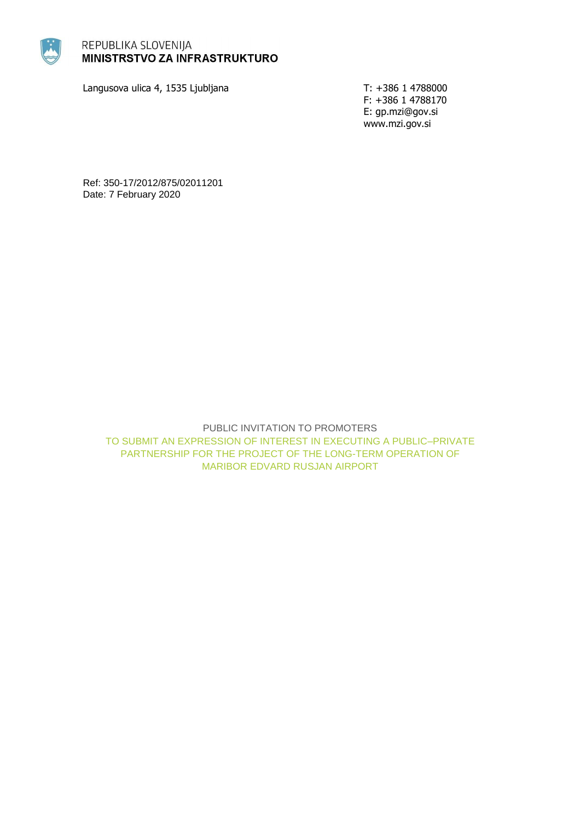

# REPUBLIKA SLOVENIJA **MINISTRSTVO ZA INFRASTRUKTURO**

Langusova ulica 4, 1535 Ljubljana T: +386 1 4788000

F: +386 1 4788170 E: gp.mzi@gov.si www.mzi.gov.si

Ref: 350-17/2012/875/02011201 Date: 7 February 2020

> PUBLIC INVITATION TO PROMOTERS TO SUBMIT AN EXPRESSION OF INTEREST IN EXECUTING A PUBLIC–PRIVATE PARTNERSHIP FOR THE PROJECT OF THE LONG-TERM OPERATION OF MARIBOR EDVARD RUSJAN AIRPORT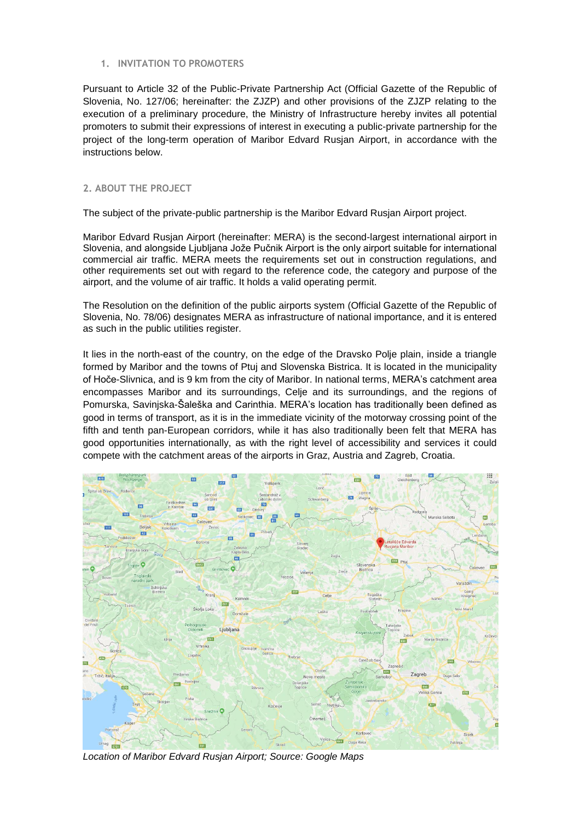#### **1. INVITATION TO PROMOTERS**

Pursuant to Article 32 of the Public-Private Partnership Act (Official Gazette of the Republic of Slovenia, No. 127/06; hereinafter: the ZJZP) and other provisions of the ZJZP relating to the execution of a preliminary procedure, the Ministry of Infrastructure hereby invites all potential promoters to submit their expressions of interest in executing a public-private partnership for the project of the long-term operation of Maribor Edvard Rusjan Airport, in accordance with the instructions below.

#### **2. ABOUT THE PROJECT**

The subject of the private-public partnership is the Maribor Edvard Rusjan Airport project.

Maribor Edvard Rusjan Airport (hereinafter: MERA) is the second-largest international airport in Slovenia, and alongside Ljubljana Jože Pučnik Airport is the only airport suitable for international commercial air traffic. MERA meets the requirements set out in construction regulations, and other requirements set out with regard to the reference code, the category and purpose of the airport, and the volume of air traffic. It holds a valid operating permit.

The Resolution on the definition of the public airports system (Official Gazette of the Republic of Slovenia, No. 78/06) designates MERA as infrastructure of national importance, and it is entered as such in the public utilities register.

It lies in the north-east of the country, on the edge of the Dravsko Polje plain, inside a triangle formed by Maribor and the towns of Ptuj and Slovenska Bistrica. It is located in the municipality of Hoče-Slivnica, and is 9 km from the city of Maribor. In national terms, MERA's catchment area encompasses Maribor and its surroundings, Celje and its surroundings, and the regions of Pomurska, Savinjska-Šaleška and Carinthia. MERA's location has traditionally been defined as good in terms of transport, as it is in the immediate vicinity of the motorway crossing point of the fifth and tenth pan-European corridors, while it has also traditionally been felt that MERA has good opportunities internationally, as with the right level of accessibility and services it could compete with the catchment areas of the airports in Graz, Austria and Zagreb, Croatia.



*Location of Maribor Edvard Rusjan Airport; Source: Google Maps*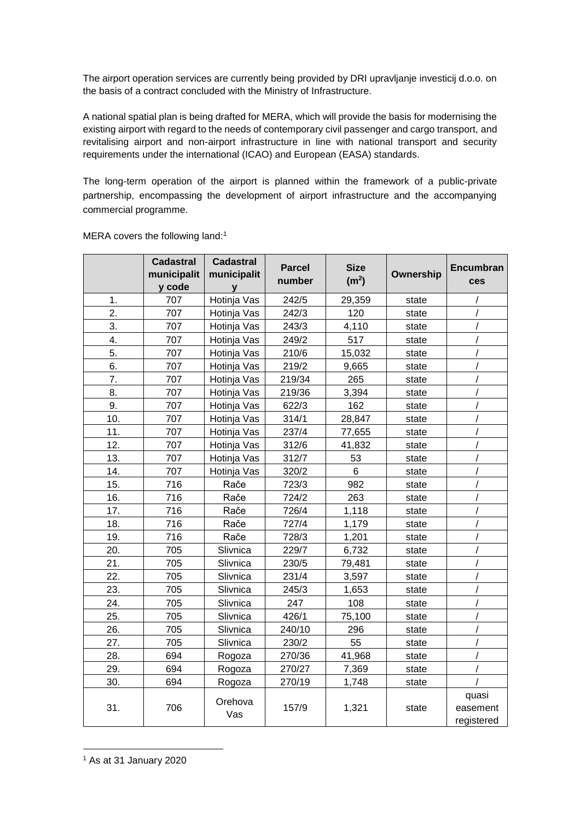The airport operation services are currently being provided by DRI upravljanje investicij d.o.o. on the basis of a contract concluded with the Ministry of Infrastructure.

A national spatial plan is being drafted for MERA, which will provide the basis for modernising the existing airport with regard to the needs of contemporary civil passenger and cargo transport, and revitalising airport and non-airport infrastructure in line with national transport and security requirements under the international (ICAO) and European (EASA) standards.

The long-term operation of the airport is planned within the framework of a public-private partnership, encompassing the development of airport infrastructure and the accompanying commercial programme.

|     | <b>Cadastral</b> | <b>Cadastral</b> | <b>Parcel</b> | <b>Size</b>       |           | Encumbran  |
|-----|------------------|------------------|---------------|-------------------|-----------|------------|
|     | municipalit      | municipalit      | number        | (m <sup>2</sup> ) | Ownership | ces        |
|     | y code           | y                |               |                   |           |            |
| 1.  | 707              | Hotinja Vas      | 242/5         | 29,359            | state     |            |
| 2.  | 707              | Hotinja Vas      | 242/3         | 120               | state     |            |
| 3.  | 707              | Hotinja Vas      | 243/3         | 4,110             | state     |            |
| 4.  | 707              | Hotinja Vas      | 249/2         | 517               | state     |            |
| 5.  | 707              | Hotinja Vas      | 210/6         | 15,032            | state     |            |
| 6.  | 707              | Hotinja Vas      | 219/2         | 9,665             | state     | $\prime$   |
| 7.  | 707              | Hotinja Vas      | 219/34        | 265               | state     | $\prime$   |
| 8.  | 707              | Hotinja Vas      | 219/36        | 3,394             | state     |            |
| 9.  | 707              | Hotinja Vas      | 622/3         | 162               | state     |            |
| 10. | 707              | Hotinja Vas      | 314/1         | 28,847            | state     |            |
| 11. | 707              | Hotinja Vas      | 237/4         | 77,655            | state     |            |
| 12. | 707              | Hotinja Vas      | 312/6         | 41,832            | state     |            |
| 13. | 707              | Hotinja Vas      | 312/7         | 53                | state     |            |
| 14. | 707              | Hotinja Vas      | 320/2         | 6                 | state     |            |
| 15. | 716              | Rače             | 723/3         | 982               | state     |            |
| 16. | 716              | Rače             | 724/2         | 263               | state     |            |
| 17. | 716              | Rače             | 726/4         | 1,118             | state     |            |
| 18. | 716              | Rače             | 727/4         | 1,179             | state     |            |
| 19. | 716              | Rače             | 728/3         | 1,201             | state     | $\prime$   |
| 20. | 705              | Slivnica         | 229/7         | 6,732             | state     |            |
| 21. | 705              | Slivnica         | 230/5         | 79,481            | state     |            |
| 22. | 705              | Slivnica         | 231/4         | 3,597             | state     |            |
| 23. | 705              | Slivnica         | 245/3         | 1,653             | state     |            |
| 24. | 705              | Slivnica         | 247           | 108               | state     |            |
| 25. | 705              | Slivnica         | 426/1         | 75,100            | state     |            |
| 26. | 705              | Slivnica         | 240/10        | 296               | state     |            |
| 27. | 705              | Slivnica         | 230/2         | 55                | state     |            |
| 28. | 694              | Rogoza           | 270/36        | 41,968            | state     |            |
| 29. | 694              | Rogoza           | 270/27        | 7,369             | state     |            |
| 30. | 694              | Rogoza           | 270/19        | 1,748             | state     |            |
| 31. | 706              | Orehova<br>Vas   | 157/9         | 1,321             | state     | quasi      |
|     |                  |                  |               |                   |           | easement   |
|     |                  |                  |               |                   |           | registered |

MERA covers the following land:<sup>1</sup>

<sup>1</sup> As at 31 January 2020

-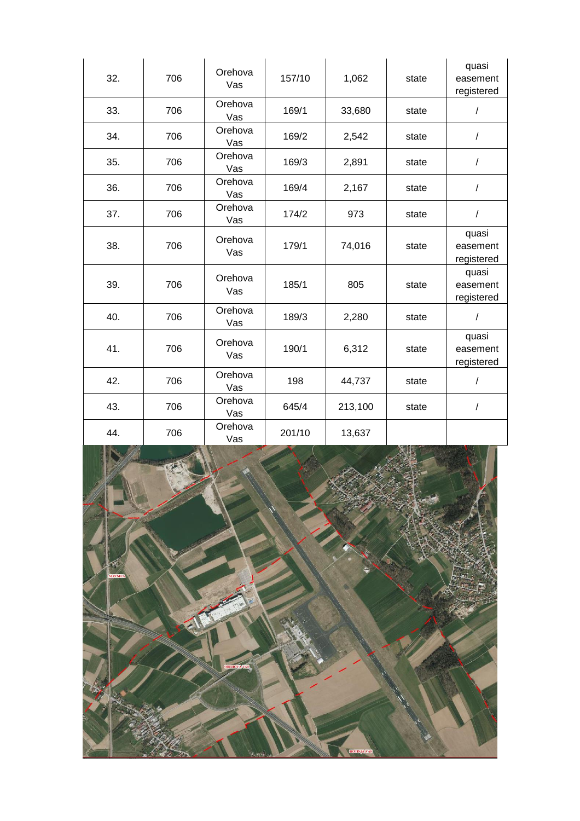| 32. | 706 | Orehova<br>Vas | 157/10 | 1,062   | state | quasi<br>easement<br>registered |
|-----|-----|----------------|--------|---------|-------|---------------------------------|
| 33. | 706 | Orehova<br>Vas | 169/1  | 33,680  | state | $\sqrt{2}$                      |
| 34. | 706 | Orehova<br>Vas | 169/2  | 2,542   | state | $\sqrt{2}$                      |
| 35. | 706 | Orehova<br>Vas | 169/3  | 2,891   | state | /                               |
| 36. | 706 | Orehova<br>Vas | 169/4  | 2,167   | state | /                               |
| 37. | 706 | Orehova<br>Vas | 174/2  | 973     | state | $\sqrt{\phantom{a}}$            |
| 38. | 706 | Orehova<br>Vas | 179/1  | 74,016  | state | quasi<br>easement<br>registered |
| 39. | 706 | Orehova<br>Vas | 185/1  | 805     | state | quasi<br>easement<br>registered |
| 40. | 706 | Orehova<br>Vas | 189/3  | 2,280   | state | $\sqrt{2}$                      |
| 41. | 706 | Orehova<br>Vas | 190/1  | 6,312   | state | quasi<br>easement<br>registered |
| 42. | 706 | Orehova<br>Vas | 198    | 44,737  | state | $\sqrt{\phantom{a}}$            |
| 43. | 706 | Orehova<br>Vas | 645/4  | 213,100 | state | /                               |
| 44. | 706 | Orehova<br>Vas | 201/10 | 13,637  |       |                                 |

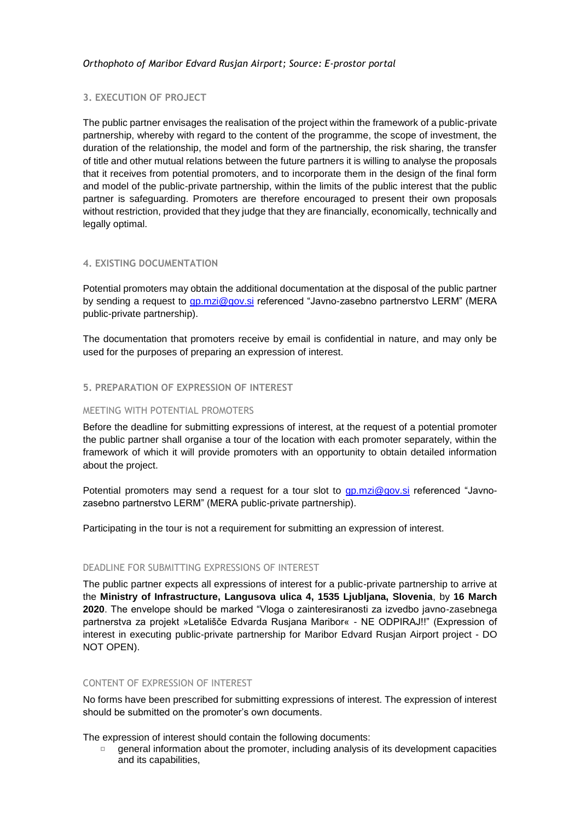## **3. EXECUTION OF PROJECT**

The public partner envisages the realisation of the project within the framework of a public-private partnership, whereby with regard to the content of the programme, the scope of investment, the duration of the relationship, the model and form of the partnership, the risk sharing, the transfer of title and other mutual relations between the future partners it is willing to analyse the proposals that it receives from potential promoters, and to incorporate them in the design of the final form and model of the public-private partnership, within the limits of the public interest that the public partner is safeguarding. Promoters are therefore encouraged to present their own proposals without restriction, provided that they judge that they are financially, economically, technically and legally optimal.

## **4. EXISTING DOCUMENTATION**

Potential promoters may obtain the additional documentation at the disposal of the public partner by sending a request to [gp.mzi@gov.si](mailto:gp.mzi@gov.si) referenced "Javno-zasebno partnerstvo LERM" (MERA public-private partnership).

The documentation that promoters receive by email is confidential in nature, and may only be used for the purposes of preparing an expression of interest.

## **5. PREPARATION OF EXPRESSION OF INTEREST**

## MEETING WITH POTENTIAL PROMOTERS

Before the deadline for submitting expressions of interest, at the request of a potential promoter the public partner shall organise a tour of the location with each promoter separately, within the framework of which it will provide promoters with an opportunity to obtain detailed information about the project.

Potential promoters may send a request for a tour slot to **gp.mzi@gov.si** referenced "Javnozasebno partnerstvo LERM" (MERA public-private partnership).

Participating in the tour is not a requirement for submitting an expression of interest.

## DEADLINE FOR SUBMITTING EXPRESSIONS OF INTEREST

The public partner expects all expressions of interest for a public-private partnership to arrive at the **Ministry of Infrastructure, Langusova ulica 4, 1535 Ljubljana, Slovenia**, by **16 March 2020**. The envelope should be marked "Vloga o zainteresiranosti za izvedbo javno-zasebnega partnerstva za projekt »Letališče Edvarda Rusjana Maribor« - NE ODPIRAJ!!" (Expression of interest in executing public-private partnership for Maribor Edvard Rusjan Airport project - DO NOT OPEN).

# CONTENT OF EXPRESSION OF INTEREST

No forms have been prescribed for submitting expressions of interest. The expression of interest should be submitted on the promoter's own documents.

The expression of interest should contain the following documents:

general information about the promoter, including analysis of its development capacities  $\Box$ and its capabilities,